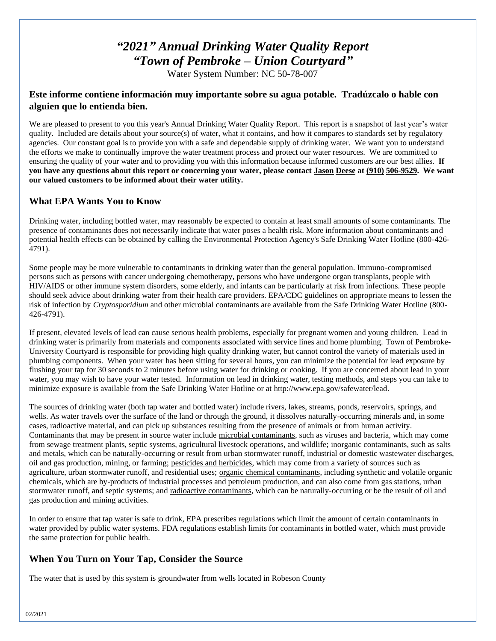# *"2021" Annual Drinking Water Quality Report "Town of Pembroke – Union Courtyard"*

Water System Number: NC 50-78-007

# **Este informe contiene información muy importante sobre su agua potable. Tradúzcalo o hable con alguien que lo entienda bien.**

We are pleased to present to you this year's Annual Drinking Water Quality Report. This report is a snapshot of last year's water quality. Included are details about your source(s) of water, what it contains, and how it compares to standards set by regulatory agencies. Our constant goal is to provide you with a safe and dependable supply of drinking water. We want you to understand the efforts we make to continually improve the water treatment process and protect our water resources. We are committed to ensuring the quality of your water and to providing you with this information because informed customers are our best allies. **If you have any questions about this report or concerning your water, please contact Jason Deese at (910) 506-9529. We want our valued customers to be informed about their water utility.** 

# **What EPA Wants You to Know**

Drinking water, including bottled water, may reasonably be expected to contain at least small amounts of some contaminants. The presence of contaminants does not necessarily indicate that water poses a health risk. More information about contaminants and potential health effects can be obtained by calling the Environmental Protection Agency's Safe Drinking Water Hotline (800-426- 4791).

Some people may be more vulnerable to contaminants in drinking water than the general population. Immuno-compromised persons such as persons with cancer undergoing chemotherapy, persons who have undergone organ transplants, people with HIV/AIDS or other immune system disorders, some elderly, and infants can be particularly at risk from infections. These people should seek advice about drinking water from their health care providers. EPA/CDC guidelines on appropriate means to lessen the risk of infection by *Cryptosporidium* and other microbial contaminants are available from the Safe Drinking Water Hotline (800- 426-4791).

If present, elevated levels of lead can cause serious health problems, especially for pregnant women and young children. Lead in drinking water is primarily from materials and components associated with service lines and home plumbing. Town of Pembroke-University Courtyard is responsible for providing high quality drinking water, but cannot control the variety of materials used in plumbing components. When your water has been sitting for several hours, you can minimize the potential for lead exposure by flushing your tap for 30 seconds to 2 minutes before using water for drinking or cooking. If you are concerned about lead in your water, you may wish to have your water tested. Information on lead in drinking water, testing methods, and steps you can take to minimize exposure is available from the Safe Drinking Water Hotline or at [http://www.epa.gov/safewater/lead.](http://www.epa.gov/safewater/lead)

The sources of drinking water (both tap water and bottled water) include rivers, lakes, streams, ponds, reservoirs, springs, and wells. As water travels over the surface of the land or through the ground, it dissolves naturally-occurring minerals and, in some cases, radioactive material, and can pick up substances resulting from the presence of animals or from human activity. Contaminants that may be present in source water include microbial contaminants, such as viruses and bacteria, which may come from sewage treatment plants, septic systems, agricultural livestock operations, and wildlife; inorganic contaminants, such as salts and metals, which can be naturally-occurring or result from urban stormwater runoff, industrial or domestic wastewater discharges, oil and gas production, mining, or farming; pesticides and herbicides, which may come from a variety of sources such as agriculture, urban stormwater runoff, and residential uses; organic chemical contaminants, including synthetic and volatile organic chemicals, which are by-products of industrial processes and petroleum production, and can also come from gas stations, urban stormwater runoff, and septic systems; and radioactive contaminants, which can be naturally-occurring or be the result of oil and gas production and mining activities.

In order to ensure that tap water is safe to drink, EPA prescribes regulations which limit the amount of certain contaminants in water provided by public water systems. FDA regulations establish limits for contaminants in bottled water, which must provide the same protection for public health.

# **When You Turn on Your Tap, Consider the Source**

The water that is used by this system is groundwater from wells located in Robeson County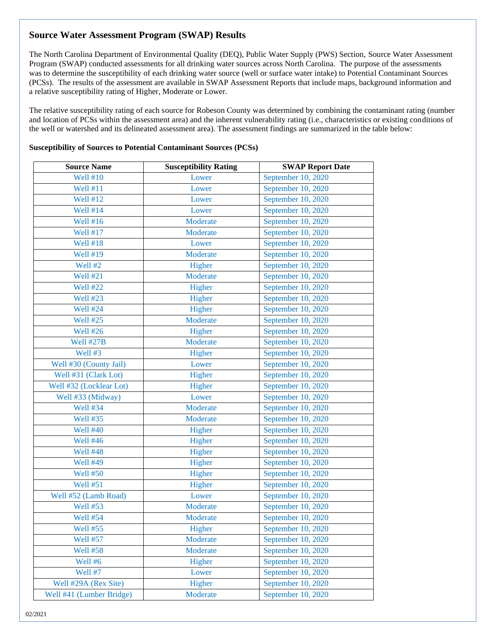# **Source Water Assessment Program (SWAP) Results**

The North Carolina Department of Environmental Quality (DEQ), Public Water Supply (PWS) Section, Source Water Assessment Program (SWAP) conducted assessments for all drinking water sources across North Carolina. The purpose of the assessments was to determine the susceptibility of each drinking water source (well or surface water intake) to Potential Contaminant Sources (PCSs). The results of the assessment are available in SWAP Assessment Reports that include maps, background information and a relative susceptibility rating of Higher, Moderate or Lower.

The relative susceptibility rating of each source for Robeson County was determined by combining the contaminant rating (number and location of PCSs within the assessment area) and the inherent vulnerability rating (i.e., characteristics or existing conditions of the well or watershed and its delineated assessment area). The assessment findings are summarized in the table below:

| <b>Source Name</b>       | <b>Susceptibility Rating</b> | <b>SWAP Report Date</b> |
|--------------------------|------------------------------|-------------------------|
| <b>Well #10</b>          | Lower                        | September 10, 2020      |
| Well #11                 | Lower                        | September 10, 2020      |
| <b>Well #12</b>          | Lower                        | September 10, 2020      |
| <b>Well #14</b>          | Lower                        | September 10, 2020      |
| Well #16                 | Moderate                     | September 10, 2020      |
| Well #17                 | Moderate                     | September 10, 2020      |
| <b>Well #18</b>          | Lower                        | September 10, 2020      |
| <b>Well #19</b>          | Moderate                     | September 10, 2020      |
| Well #2                  | Higher                       | September 10, 2020      |
| Well #21                 | Moderate                     | September 10, 2020      |
| Well #22                 | Higher                       | September 10, 2020      |
| <b>Well #23</b>          | Higher                       | September 10, 2020      |
| Well #24                 | Higher                       | September 10, 2020      |
| <b>Well #25</b>          | Moderate                     | September 10, 2020      |
| <b>Well #26</b>          | Higher                       | September 10, 2020      |
| <b>Well #27B</b>         | Moderate                     | September 10, 2020      |
| Well #3                  | Higher                       | September 10, 2020      |
| Well #30 (County Jail)   | Lower                        | September 10, 2020      |
| Well #31 (Clark Lot)     | Higher                       | September 10, 2020      |
| Well #32 (Locklear Lot)  | Higher                       | September 10, 2020      |
| Well #33 (Midway)        | Lower                        | September 10, 2020      |
| <b>Well #34</b>          | Moderate                     | September 10, 2020      |
| <b>Well #35</b>          | Moderate                     | September 10, 2020      |
| <b>Well #40</b>          | Higher                       | September 10, 2020      |
| Well #46                 | Higher                       | September 10, 2020      |
| Well #48                 | Higher                       | September 10, 2020      |
| <b>Well #49</b>          | Higher                       | September 10, 2020      |
| <b>Well #50</b>          | Higher                       | September 10, 2020      |
| <b>Well #51</b>          | Higher                       | September 10, 2020      |
| Well #52 (Lamb Road)     | Lower                        | September 10, 2020      |
| <b>Well #53</b>          | Moderate                     | September 10, 2020      |
| <b>Well #54</b>          | Moderate                     | September 10, 2020      |
| <b>Well #55</b>          | Higher                       | September 10, 2020      |
| <b>Well #57</b>          | Moderate                     | September 10, 2020      |
| <b>Well #58</b>          | Moderate                     | September 10, 2020      |
| Well #6                  | Higher                       | September 10, 2020      |
| Well #7                  | Lower                        | September 10, 2020      |
| Well #29A (Rex Site)     | Higher                       | September 10, 2020      |
| Well #41 (Lumber Bridge) | Moderate                     | September 10, 2020      |

#### **Susceptibility of Sources to Potential Contaminant Sources (PCSs)**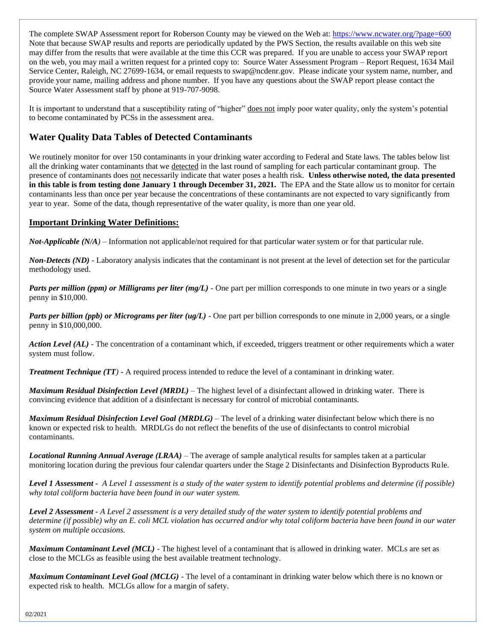The complete SWAP Assessment report for Roberson County may be viewed on the Web at[: https://www.ncwater.org/?page=600](https://www.ncwater.org/?page=600) Note that because SWAP results and reports are periodically updated by the PWS Section, the results available on this web site may differ from the results that were available at the time this CCR was prepared. If you are unable to access your SWAP report on the web, you may mail a written request for a printed copy to: Source Water Assessment Program – Report Request, 1634 Mail Service Center, Raleigh, NC 27699-1634, or email requests to swap@ncdenr.gov. Please indicate your system name, number, and provide your name, mailing address and phone number. If you have any questions about the SWAP report please contact the Source Water Assessment staff by phone at 919-707-9098.

It is important to understand that a susceptibility rating of "higher" does not imply poor water quality, only the system's potential to become contaminated by PCSs in the assessment area.

# **Water Quality Data Tables of Detected Contaminants**

We routinely monitor for over 150 contaminants in your drinking water according to Federal and State laws. The tables below list all the drinking water contaminants that we detected in the last round of sampling for each particular contaminant group. The presence of contaminants does not necessarily indicate that water poses a health risk. **Unless otherwise noted, the data presented in this table is from testing done January 1 through December 31, 2021.** The EPA and the State allow us to monitor for certain contaminants less than once per year because the concentrations of these contaminants are not expected to vary significantly from year to year. Some of the data, though representative of the water quality, is more than one year old.

### **Important Drinking Water Definitions:**

*Not-Applicable (N/A)* – Information not applicable/not required for that particular water system or for that particular rule.

*Non-Detects (ND)* - Laboratory analysis indicates that the contaminant is not present at the level of detection set for the particular methodology used.

*Parts per million (ppm) or Milligrams per liter (mg/L)* - One part per million corresponds to one minute in two years or a single penny in \$10,000.

*Parts per billion (ppb) or Micrograms per liter (ug/L)* - One part per billion corresponds to one minute in 2,000 years, or a single penny in \$10,000,000.

*Action Level (AL) -* The concentration of a contaminant which, if exceeded, triggers treatment or other requirements which a water system must follow.

*Treatment Technique (TT)* **-** A required process intended to reduce the level of a contaminant in drinking water.

*Maximum Residual Disinfection Level (MRDL)* – The highest level of a disinfectant allowed in drinking water. There is convincing evidence that addition of a disinfectant is necessary for control of microbial contaminants.

*Maximum Residual Disinfection Level Goal (MRDLG)* – The level of a drinking water disinfectant below which there is no known or expected risk to health. MRDLGs do not reflect the benefits of the use of disinfectants to control microbial contaminants.

*Locational Running Annual Average (LRAA)* – The average of sample analytical results for samples taken at a particular monitoring location during the previous four calendar quarters under the Stage 2 Disinfectants and Disinfection Byproducts Rule.

*Level 1 Assessment - A Level 1 assessment is a study of the water system to identify potential problems and determine (if possible) why total coliform bacteria have been found in our water system.*

*Level 2 Assessment - A Level 2 assessment is a very detailed study of the water system to identify potential problems and determine (if possible) why an E. coli MCL violation has occurred and/or why total coliform bacteria have been found in our water system on multiple occasions.*

*Maximum Contaminant Level (MCL)* - The highest level of a contaminant that is allowed in drinking water. MCLs are set as close to the MCLGs as feasible using the best available treatment technology.

*Maximum Contaminant Level Goal (MCLG)* - The level of a contaminant in drinking water below which there is no known or expected risk to health. MCLGs allow for a margin of safety.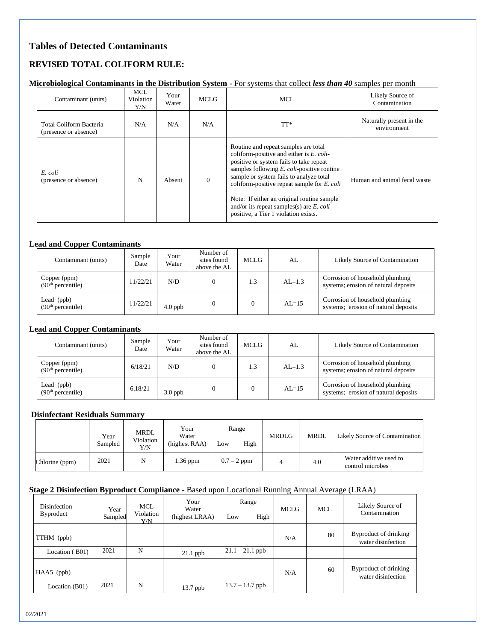# **Tables of Detected Contaminants**

# **REVISED TOTAL COLIFORM RULE:**

#### **Microbiological Contaminants in the Distribution System -** For systems that collect *less than 40* samples per month

| Contaminant (units)                              | <b>MCL</b><br>Violation<br>Y/N | Your<br>Water | MCLG         | MCL                                                                                                                                                                                                                                                                                                                                                                                                         | Likely Source of<br>Contamination       |
|--------------------------------------------------|--------------------------------|---------------|--------------|-------------------------------------------------------------------------------------------------------------------------------------------------------------------------------------------------------------------------------------------------------------------------------------------------------------------------------------------------------------------------------------------------------------|-----------------------------------------|
| Total Coliform Bacteria<br>(presence or absence) | N/A                            | N/A           | N/A          | TT*                                                                                                                                                                                                                                                                                                                                                                                                         | Naturally present in the<br>environment |
| E. coli<br>(presence or absence)                 | N                              | Absent        | $\mathbf{0}$ | Routine and repeat samples are total<br>coliform-positive and either is E. coli-<br>positive or system fails to take repeat<br>samples following E. coli-positive routine<br>sample or system fails to analyze total<br>coliform-positive repeat sample for $E$ . coli<br>Note: If either an original routine sample<br>and/or its repeat samples(s) are $E$ . coli<br>positive, a Tier 1 violation exists. | Human and animal fecal waste            |

#### **Lead and Copper Contaminants**

| Contaminant (units)                           | Sample<br>Date | Your<br>Water | Number of<br>sites found<br>above the AL | MCLG | AL         | Likely Source of Contamination                                          |
|-----------------------------------------------|----------------|---------------|------------------------------------------|------|------------|-------------------------------------------------------------------------|
| Copper (ppm)<br>(90 <sup>th</sup> percentile) | 11/22/21       | N/D           |                                          | 1.3  | $AI = 1.3$ | Corrosion of household plumbing<br>systems; erosion of natural deposits |
| Lead (ppb)<br>(90 <sup>th</sup> percentile)   | 11/22/21       | $4.0$ ppb     |                                          |      | $AI = 15$  | Corrosion of household plumbing<br>systems; erosion of natural deposits |

#### **Lead and Copper Contaminants**

| Contaminant (units)                           | Sample<br>Date | Your<br>Water | Number of<br>sites found<br>above the AL | MCLG | AL         | Likely Source of Contamination                                          |
|-----------------------------------------------|----------------|---------------|------------------------------------------|------|------------|-------------------------------------------------------------------------|
| Copper (ppm)<br>(90 <sup>th</sup> percentile) | 6/18/21        | N/D           |                                          | 1.3  | $AI = 1.3$ | Corrosion of household plumbing<br>systems; erosion of natural deposits |
| Lead (ppb)<br>(90 <sup>th</sup> percentile)   | 6.18/21        | $3.0$ ppb     |                                          |      | $AI = 15$  | Corrosion of household plumbing<br>systems; erosion of natural deposits |

#### **Disinfectant Residuals Summary**

|                | Year<br>Sampled | MRDL<br>Violation<br>Y/N | Your<br>Water<br>(highest RAA) | Range<br>High<br>Low | <b>MRDLG</b> | <b>MRDL</b> | Likely Source of Contamination             |
|----------------|-----------------|--------------------------|--------------------------------|----------------------|--------------|-------------|--------------------------------------------|
| Chlorine (ppm) | 2021            | N                        | $1.36$ ppm                     | $0.7 - 2$ ppm        |              | 4.0         | Water additive used to<br>control microbes |

### **Stage 2 Disinfection Byproduct Compliance -** Based upon Locational Running Annual Average (LRAA)

| Disinfection<br><b>Byproduct</b> | Year<br>Sampled | MCL<br>Violation<br>Y/N | Your<br>Water<br>(highest LRAA) | Range<br>High<br>Low |  | MCLG | MCL. | Likely Source of<br>Contamination           |
|----------------------------------|-----------------|-------------------------|---------------------------------|----------------------|--|------|------|---------------------------------------------|
| TTHM (ppb)                       |                 |                         |                                 |                      |  | N/A  | 80   | Byproduct of drinking<br>water disinfection |
| Location (B01)                   | 2021            | N                       | $21.1$ ppb                      | $21.1 - 21.1$ ppb    |  |      |      |                                             |
| $HAA5$ (ppb)                     |                 |                         |                                 |                      |  | N/A  | 60   | Byproduct of drinking<br>water disinfection |
| Location (B01)                   | 2021            | N                       | 13.7 ppb                        | $13.7 - 13.7$ ppb    |  |      |      |                                             |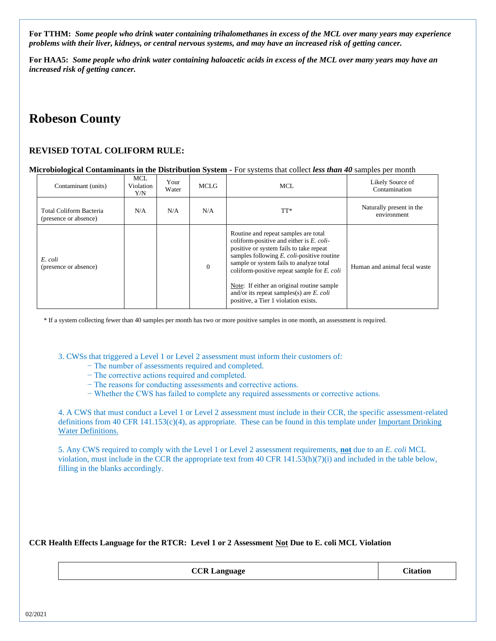**For TTHM:** *Some people who drink water containing trihalomethanes in excess of the MCL over many years may experience problems with their liver, kidneys, or central nervous systems, and may have an increased risk of getting cancer.*

**For HAA5:** *Some people who drink water containing haloacetic acids in excess of the MCL over many years may have an increased risk of getting cancer.*

# **Robeson County**

### **REVISED TOTAL COLIFORM RULE:**

#### **Microbiological Contaminants in the Distribution System -** For systems that collect *less than 40* samples per month

| Contaminant (units)                              | <b>MCL</b><br>Violation<br>Y/N | Your<br>Water | <b>MCLG</b>  | MCL.                                                                                                                                                                                                                                                                                                                                                                                                                | Likely Source of<br>Contamination       |
|--------------------------------------------------|--------------------------------|---------------|--------------|---------------------------------------------------------------------------------------------------------------------------------------------------------------------------------------------------------------------------------------------------------------------------------------------------------------------------------------------------------------------------------------------------------------------|-----------------------------------------|
| Total Coliform Bacteria<br>(presence or absence) | N/A                            | N/A           | N/A          | TT*                                                                                                                                                                                                                                                                                                                                                                                                                 | Naturally present in the<br>environment |
| E. coli<br>(presence or absence)                 |                                |               | $\mathbf{0}$ | Routine and repeat samples are total<br>coliform-positive and either is E. coli-<br>positive or system fails to take repeat<br>samples following $E$ . <i>coli</i> -positive routine<br>sample or system fails to analyze total<br>coliform-positive repeat sample for E. coli<br>Note: If either an original routine sample<br>and/or its repeat samples(s) are $E$ . coli<br>positive, a Tier 1 violation exists. | Human and animal fecal waste            |

\* If a system collecting fewer than 40 samples per month has two or more positive samples in one month, an assessment is required.

3. CWSs that triggered a Level 1 or Level 2 assessment must inform their customers of:

- − The number of assessments required and completed.
- − The corrective actions required and completed.
- − The reasons for conducting assessments and corrective actions.
- − Whether the CWS has failed to complete any required assessments or corrective actions.

4. A CWS that must conduct a Level 1 or Level 2 assessment must include in their CCR, the specific assessment-related definitions from 40 CFR 141.153(c)(4), as appropriate. These can be found in this template under Important Drinking Water Definitions.

5. Any CWS required to comply with the Level 1 or Level 2 assessment requirements, **not** due to an *E. coli* MCL violation, must include in the CCR the appropriate text from 40 CFR 141.53(h)(7)(i) and included in the table below, filling in the blanks accordingly.

**CCR Health Effects Language for the RTCR: Level 1 or 2 Assessment Not Due to E. coli MCL Violation**

**CCR Language CCR Language Citation**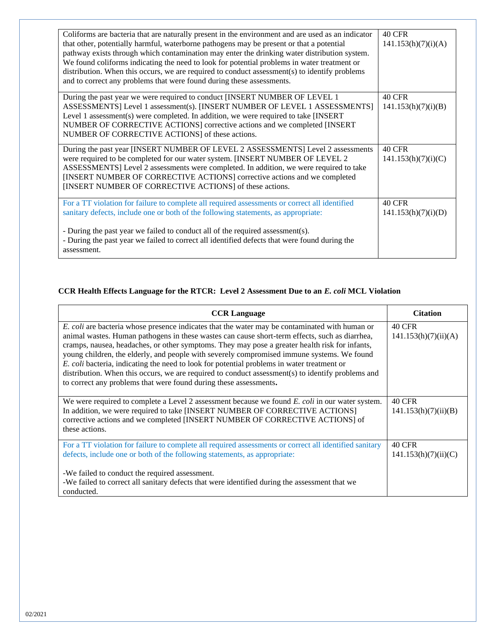| Coliforms are bacteria that are naturally present in the environment and are used as an indicator<br>that other, potentially harmful, waterborne pathogens may be present or that a potential<br>pathway exists through which contamination may enter the drinking water distribution system.<br>We found coliforms indicating the need to look for potential problems in water treatment or<br>distribution. When this occurs, we are required to conduct assessment(s) to identify problems<br>and to correct any problems that were found during these assessments. | <b>40 CFR</b><br>141.153(h)(7)(i)(A) |
|------------------------------------------------------------------------------------------------------------------------------------------------------------------------------------------------------------------------------------------------------------------------------------------------------------------------------------------------------------------------------------------------------------------------------------------------------------------------------------------------------------------------------------------------------------------------|--------------------------------------|
| During the past year we were required to conduct [INSERT NUMBER OF LEVEL 1<br>ASSESSMENTS] Level 1 assessment(s). [INSERT NUMBER OF LEVEL 1 ASSESSMENTS]<br>Level 1 assessment(s) were completed. In addition, we were required to take [INSERT]<br>NUMBER OF CORRECTIVE ACTIONS] corrective actions and we completed [INSERT<br>NUMBER OF CORRECTIVE ACTIONS] of these actions.                                                                                                                                                                                       | <b>40 CFR</b><br>141.153(h)(7)(i)(B) |
| During the past year [INSERT NUMBER OF LEVEL 2 ASSESSMENTS] Level 2 assessments<br>were required to be completed for our water system. [INSERT NUMBER OF LEVEL 2<br>ASSESSMENTS] Level 2 assessments were completed. In addition, we were required to take<br>[INSERT NUMBER OF CORRECTIVE ACTIONS] corrective actions and we completed<br>[INSERT NUMBER OF CORRECTIVE ACTIONS] of these actions.                                                                                                                                                                     | <b>40 CFR</b><br>141.153(h)(7)(i)(C) |
| For a TT violation for failure to complete all required assessments or correct all identified<br>sanitary defects, include one or both of the following statements, as appropriate:<br>- During the past year we failed to conduct all of the required assessment(s).<br>- During the past year we failed to correct all identified defects that were found during the                                                                                                                                                                                                 | <b>40 CFR</b><br>141.153(h)(7)(i)(D) |

## **CCR Health Effects Language for the RTCR: Level 2 Assessment Due to an** *E. coli* **MCL Violation**

| <b>CCR Language</b>                                                                                                                                                                                                                                                                                                                                                                                                                                                                                                                                                                                                                                                      | <b>Citation</b>                       |
|--------------------------------------------------------------------------------------------------------------------------------------------------------------------------------------------------------------------------------------------------------------------------------------------------------------------------------------------------------------------------------------------------------------------------------------------------------------------------------------------------------------------------------------------------------------------------------------------------------------------------------------------------------------------------|---------------------------------------|
| E. coli are bacteria whose presence indicates that the water may be contaminated with human or<br>animal wastes. Human pathogens in these wastes can cause short-term effects, such as diarrhea,<br>cramps, nausea, headaches, or other symptoms. They may pose a greater health risk for infants,<br>young children, the elderly, and people with severely compromised immune systems. We found<br>E. coli bacteria, indicating the need to look for potential problems in water treatment or<br>distribution. When this occurs, we are required to conduct assessment(s) to identify problems and<br>to correct any problems that were found during these assessments. | <b>40 CFR</b><br>141.153(h)(7)(ii)(A) |
| We were required to complete a Level 2 assessment because we found E. coli in our water system.<br>In addition, we were required to take [INSERT NUMBER OF CORRECTIVE ACTIONS]<br>corrective actions and we completed [INSERT NUMBER OF CORRECTIVE ACTIONS] of<br>these actions.                                                                                                                                                                                                                                                                                                                                                                                         | <b>40 CFR</b><br>141.153(h)(7)(ii)(B) |
| For a TT violation for failure to complete all required assessments or correct all identified sanitary<br>defects, include one or both of the following statements, as appropriate:                                                                                                                                                                                                                                                                                                                                                                                                                                                                                      | <b>40 CFR</b><br>141.153(h)(7)(ii)(C) |
| -We failed to conduct the required assessment.<br>-We failed to correct all sanitary defects that were identified during the assessment that we<br>conducted.                                                                                                                                                                                                                                                                                                                                                                                                                                                                                                            |                                       |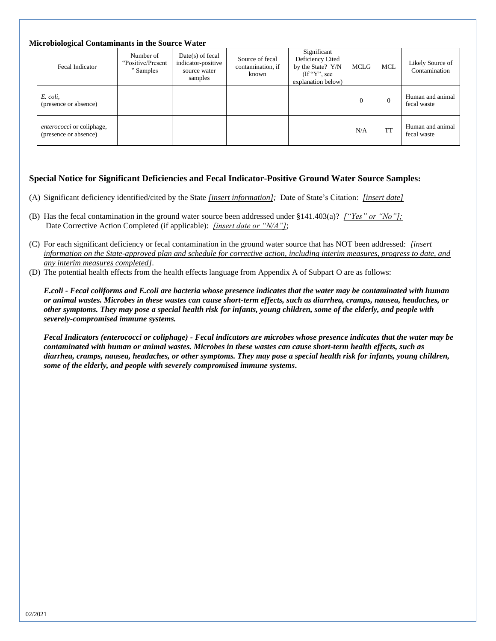| <b>Microbiological Contaminants in the Source Water</b> |  |  |  |
|---------------------------------------------------------|--|--|--|
|                                                         |  |  |  |

| Fecal Indicator                                           | Number of<br>"Positive/Present"<br>" Samples | $Date(s)$ of fecal<br>indicator-positive<br>source water<br>samples | Source of fecal<br>contamination, if<br>known | Significant<br>Deficiency Cited<br>by the State? Y/N<br>$(\mathrm{If}``\mathrm{Y}"$ , see<br>explanation below) | MCLG     | <b>MCL</b> | Likely Source of<br>Contamination |
|-----------------------------------------------------------|----------------------------------------------|---------------------------------------------------------------------|-----------------------------------------------|-----------------------------------------------------------------------------------------------------------------|----------|------------|-----------------------------------|
| E. coli,<br>(presence or absence)                         |                                              |                                                                     |                                               |                                                                                                                 | $\Omega$ | $\theta$   | Human and animal<br>fecal waste   |
| <i>enterococci</i> or coliphage,<br>(presence or absence) |                                              |                                                                     |                                               |                                                                                                                 | N/A      | <b>TT</b>  | Human and animal<br>fecal waste   |

### **Special Notice for Significant Deficiencies and Fecal Indicator-Positive Ground Water Source Samples:**

- (A) Significant deficiency identified/cited by the State *[insert information];* Date of State's Citation: *[insert date]*
- (B) Has the fecal contamination in the ground water source been addressed under §141.403(a)? *["Yes" or "No"];* Date Corrective Action Completed (if applicable): *[insert date or "N/A"]*;
- (C) For each significant deficiency or fecal contamination in the ground water source that has NOT been addressed: *[insert information on the State-approved plan and schedule for corrective action, including interim measures, progress to date, and any interim measures completed]*.
- (D) The potential health effects from the health effects language from Appendix A of Subpart O are as follows:

*E.coli - Fecal coliforms and E.coli are bacteria whose presence indicates that the water may be contaminated with human or animal wastes. Microbes in these wastes can cause short-term effects, such as diarrhea, cramps, nausea, headaches, or other symptoms. They may pose a special health risk for infants, young children, some of the elderly, and people with severely-compromised immune systems.* 

*Fecal Indicators (enterococci or coliphage) - Fecal indicators are microbes whose presence indicates that the water may be contaminated with human or animal wastes. Microbes in these wastes can cause short-term health effects, such as diarrhea, cramps, nausea, headaches, or other symptoms. They may pose a special health risk for infants, young children, some of the elderly, and people with severely compromised immune systems***.**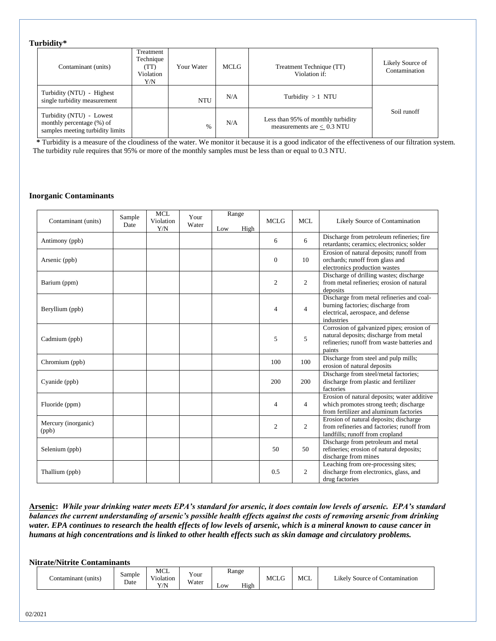#### **Turbidity\***

| <u>ui viuit</u>                                                                           |                                                    |               |      |                                                                    |                                   |
|-------------------------------------------------------------------------------------------|----------------------------------------------------|---------------|------|--------------------------------------------------------------------|-----------------------------------|
| Contaminant (units)                                                                       | Treatment<br>Technique<br>(TT)<br>Violation<br>Y/N | Your Water    | MCLG | Treatment Technique (TT)<br>Violation if:                          | Likely Source of<br>Contamination |
| Turbidity (NTU) - Highest<br>single turbidity measurement                                 |                                                    | <b>NTU</b>    | N/A  | Turbidity $>1$ NTU                                                 |                                   |
| Turbidity (NTU) - Lowest<br>monthly percentage (%) of<br>samples meeting turbidity limits |                                                    | $\frac{0}{0}$ | N/A  | Less than 95% of monthly turbidity<br>measurements are $< 0.3$ NTU | Soil runoff                       |

 **\*** Turbidity is a measure of the cloudiness of the water. We monitor it because it is a good indicator of the effectiveness of our filtration system. The turbidity rule requires that 95% or more of the monthly samples must be less than or equal to 0.3 NTU.

#### **Inorganic Contaminants**

|                              | Sample | <b>MCL</b>       | Your  |     | Range |                |                |                                                                                                                                              |
|------------------------------|--------|------------------|-------|-----|-------|----------------|----------------|----------------------------------------------------------------------------------------------------------------------------------------------|
| Contaminant (units)          | Date   | Violation<br>Y/N | Water | Low | High  | <b>MCLG</b>    | <b>MCL</b>     | Likely Source of Contamination                                                                                                               |
| Antimony (ppb)               |        |                  |       |     |       | 6              | 6              | Discharge from petroleum refineries; fire<br>retardants; ceramics; electronics; solder                                                       |
| Arsenic (ppb)                |        |                  |       |     |       | $\mathbf{0}$   | 10             | Erosion of natural deposits; runoff from<br>orchards; runoff from glass and<br>electronics production wastes                                 |
| Barium (ppm)                 |        |                  |       |     |       | $\overline{c}$ | $\overline{c}$ | Discharge of drilling wastes; discharge<br>from metal refineries; erosion of natural<br>deposits                                             |
| Beryllium (ppb)              |        |                  |       |     |       | $\overline{4}$ | $\overline{4}$ | Discharge from metal refineries and coal-<br>burning factories; discharge from<br>electrical, aerospace, and defense<br>industries           |
| Cadmium (ppb)                |        |                  |       |     |       | 5              | 5              | Corrosion of galvanized pipes; erosion of<br>natural deposits; discharge from metal<br>refineries; runoff from waste batteries and<br>paints |
| Chromium (ppb)               |        |                  |       |     |       | 100            | 100            | Discharge from steel and pulp mills;<br>erosion of natural deposits                                                                          |
| Cyanide (ppb)                |        |                  |       |     |       | 200            | 200            | Discharge from steel/metal factories;<br>discharge from plastic and fertilizer<br>factories                                                  |
| Fluoride (ppm)               |        |                  |       |     |       | $\overline{4}$ | $\overline{4}$ | Erosion of natural deposits; water additive<br>which promotes strong teeth; discharge<br>from fertilizer and aluminum factories              |
| Mercury (inorganic)<br>(ppb) |        |                  |       |     |       | $\overline{2}$ | $\overline{c}$ | Erosion of natural deposits; discharge<br>from refineries and factories: runoff from<br>landfills; runoff from cropland                      |
| Selenium (ppb)               |        |                  |       |     |       | 50             | 50             | Discharge from petroleum and metal<br>refineries; erosion of natural deposits;<br>discharge from mines                                       |
| Thallium (ppb)               |        |                  |       |     |       | 0.5            | $\overline{2}$ | Leaching from ore-processing sites;<br>discharge from electronics, glass, and<br>drug factories                                              |

**Arsenic:** *While your drinking water meets EPA's standard for arsenic, it does contain low levels of arsenic. EPA's standard balances the current understanding of arsenic's possible health effects against the costs of removing arsenic from drinking water. EPA continues to research the health effects of low levels of arsenic, which is a mineral known to cause cancer in humans at high concentrations and is linked to other health effects such as skin damage and circulatory problems.*

**Nitrate/Nitrite Contaminants** 

| (units<br>`ontamınanı | $\sim$ $\sim$ $\sim$<br>Sample<br>Date | <b>MCL</b><br>$-1$<br>V10lat10n<br>V/N<br>1/13 | Your<br>Water | Range<br>Low | High | MCLG | <b>MCL</b> | Contamination<br>Source of<br>∟ıkelv |
|-----------------------|----------------------------------------|------------------------------------------------|---------------|--------------|------|------|------------|--------------------------------------|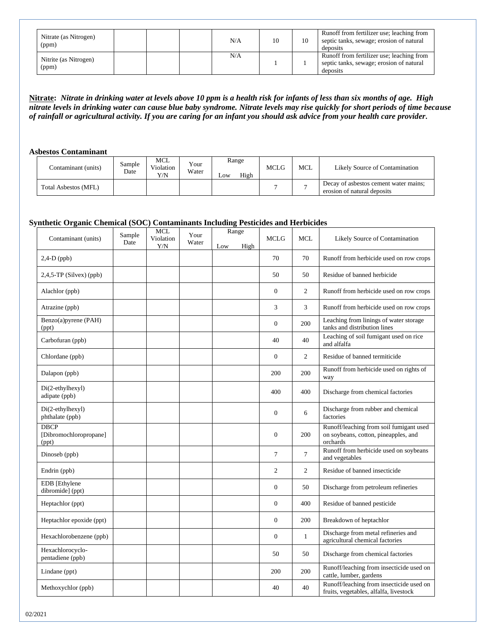| Nitrate (as Nitrogen)<br>(ppm) |  | N/A | 10 | Runoff from fertilizer use; leaching from<br>septic tanks, sewage; erosion of natural<br>deposits |
|--------------------------------|--|-----|----|---------------------------------------------------------------------------------------------------|
| Nitrite (as Nitrogen)<br>(ppm) |  | N/A |    | Runoff from fertilizer use; leaching from<br>septic tanks, sewage; erosion of natural<br>deposits |

**Nitrate:** *Nitrate in drinking water at levels above 10 ppm is a health risk for infants of less than six months of age. High nitrate levels in drinking water can cause blue baby syndrome. Nitrate levels may rise quickly for short periods of time because of rainfall or agricultural activity. If you are caring for an infant you should ask advice from your health care provider.* 

#### **Asbestos Contaminant**

| Contaminant (units)         | Sample<br>Date | MCL<br>Violation<br>Y/N | Your<br>Water | Range<br>High<br>$L$ OW | <b>MCLG</b> | <b>MCL</b> | Likely Source of Contamination                                       |
|-----------------------------|----------------|-------------------------|---------------|-------------------------|-------------|------------|----------------------------------------------------------------------|
| <b>Total Asbestos (MFL)</b> |                |                         |               |                         |             |            | Decay of asbestos cement water mains;<br>erosion of natural deposits |

### **Synthetic Organic Chemical (SOC) Contaminants Including Pesticides and Herbicides**

|                                                | Sample | <b>MCL</b>       | Your  |     | Range |                  |                |                                                                                             |
|------------------------------------------------|--------|------------------|-------|-----|-------|------------------|----------------|---------------------------------------------------------------------------------------------|
| Contaminant (units)                            | Date   | Violation<br>Y/N | Water | Low | High  | <b>MCLG</b>      | <b>MCL</b>     | Likely Source of Contamination                                                              |
| $2,4-D$ (ppb)                                  |        |                  |       |     |       | 70               | 70             | Runoff from herbicide used on row crops                                                     |
| $2,4,5$ -TP (Silvex) (ppb)                     |        |                  |       |     |       | 50               | 50             | Residue of banned herbicide                                                                 |
| Alachlor (ppb)                                 |        |                  |       |     |       | $\boldsymbol{0}$ | $\overline{c}$ | Runoff from herbicide used on row crops                                                     |
| Atrazine (ppb)                                 |        |                  |       |     |       | 3                | 3              | Runoff from herbicide used on row crops                                                     |
| Benzo(a)pyrene (PAH)<br>(ppt)                  |        |                  |       |     |       | $\overline{0}$   | 200            | Leaching from linings of water storage<br>tanks and distribution lines                      |
| Carbofuran (ppb)                               |        |                  |       |     |       | 40               | 40             | Leaching of soil fumigant used on rice<br>and alfalfa                                       |
| Chlordane (ppb)                                |        |                  |       |     |       | $\mathbf{0}$     | $\overline{c}$ | Residue of banned termiticide                                                               |
| Dalapon (ppb)                                  |        |                  |       |     |       | 200              | 200            | Runoff from herbicide used on rights of<br>way                                              |
| Di(2-ethylhexyl)<br>adipate (ppb)              |        |                  |       |     |       | 400              | 400            | Discharge from chemical factories                                                           |
| Di(2-ethylhexyl)<br>phthalate (ppb)            |        |                  |       |     |       | $\boldsymbol{0}$ | 6              | Discharge from rubber and chemical<br>factories                                             |
| <b>DBCP</b><br>[Dibromochloropropane]<br>(ppt) |        |                  |       |     |       | $\overline{0}$   | 200            | Runoff/leaching from soil fumigant used<br>on soybeans, cotton, pineapples, and<br>orchards |
| Dinoseb (ppb)                                  |        |                  |       |     |       | $\boldsymbol{7}$ | $\tau$         | Runoff from herbicide used on soybeans<br>and vegetables                                    |
| Endrin (ppb)                                   |        |                  |       |     |       | $\mathfrak{2}$   | $\overline{2}$ | Residue of banned insecticide                                                               |
| EDB [Ethylene<br>dibromide] (ppt)              |        |                  |       |     |       | $\overline{0}$   | 50             | Discharge from petroleum refineries                                                         |
| Heptachlor (ppt)                               |        |                  |       |     |       | $\overline{0}$   | 400            | Residue of banned pesticide                                                                 |
| Heptachlor epoxide (ppt)                       |        |                  |       |     |       | $\mathbf{0}$     | 200            | Breakdown of heptachlor                                                                     |
| Hexachlorobenzene (ppb)                        |        |                  |       |     |       | $\boldsymbol{0}$ | $\mathbf{1}$   | Discharge from metal refineries and<br>agricultural chemical factories                      |
| Hexachlorocyclo-<br>pentadiene (ppb)           |        |                  |       |     |       | 50               | 50             | Discharge from chemical factories                                                           |
| Lindane (ppt)                                  |        |                  |       |     |       | 200              | 200            | Runoff/leaching from insecticide used on<br>cattle, lumber, gardens                         |
| Methoxychlor (ppb)                             |        |                  |       |     |       | 40               | 40             | Runoff/leaching from insecticide used on<br>fruits, vegetables, alfalfa, livestock          |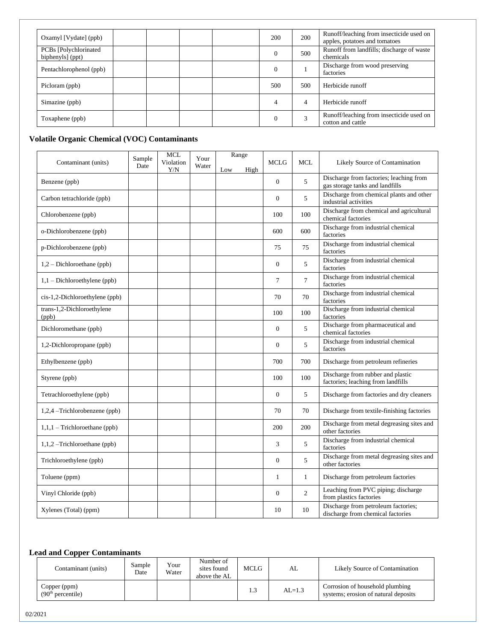| Oxamyl [Vydate] (ppb)                      |  | 200 | 200 | Runoff/leaching from insecticide used on<br>apples, potatoes and tomatoes |
|--------------------------------------------|--|-----|-----|---------------------------------------------------------------------------|
| PCBs [Polychlorinated]<br>biphenyls] (ppt) |  |     | 500 | Runoff from landfills; discharge of waste<br>chemicals                    |
| Pentachlorophenol (ppb)                    |  |     |     | Discharge from wood preserving<br>factories                               |
| Picloram (ppb)                             |  | 500 | 500 | Herbicide runoff                                                          |
| Simazine (ppb)                             |  | 4   | 4   | Herbicide runoff                                                          |
| Toxaphene (ppb)                            |  |     | 3   | Runoff/leaching from insecticide used on<br>cotton and cattle             |

# **Volatile Organic Chemical (VOC) Contaminants**

| Contaminant (units)                 | Sample<br>Date | <b>MCL</b><br>Violation<br>Y/N | Your<br>Water | Low | Range<br>High | <b>MCLG</b>      | <b>MCL</b>     | Likely Source of Contamination                                             |
|-------------------------------------|----------------|--------------------------------|---------------|-----|---------------|------------------|----------------|----------------------------------------------------------------------------|
| Benzene (ppb)                       |                |                                |               |     |               | $\boldsymbol{0}$ | 5              | Discharge from factories; leaching from<br>gas storage tanks and landfills |
| Carbon tetrachloride (ppb)          |                |                                |               |     |               | $\theta$         | 5              | Discharge from chemical plants and other<br>industrial activities          |
| Chlorobenzene (ppb)                 |                |                                |               |     |               | 100              | 100            | Discharge from chemical and agricultural<br>chemical factories             |
| o-Dichlorobenzene (ppb)             |                |                                |               |     |               | 600              | 600            | Discharge from industrial chemical<br>factories                            |
| p-Dichlorobenzene (ppb)             |                |                                |               |     |               | 75               | 75             | Discharge from industrial chemical<br>factories                            |
| $1,2$ – Dichloroethane (ppb)        |                |                                |               |     |               | $\overline{0}$   | 5              | Discharge from industrial chemical<br>factories                            |
| $1,1$ – Dichloroethylene (ppb)      |                |                                |               |     |               | $\overline{7}$   | $\overline{7}$ | Discharge from industrial chemical<br>factories                            |
| $cis-1,2-Dichloroethylene (ppb)$    |                |                                |               |     |               | 70               | 70             | Discharge from industrial chemical<br>factories                            |
| trans-1,2-Dichloroethylene<br>(ppb) |                |                                |               |     |               | 100              | 100            | Discharge from industrial chemical<br>factories                            |
| Dichloromethane (ppb)               |                |                                |               |     |               | $\mathbf{0}$     | 5              | Discharge from pharmaceutical and<br>chemical factories                    |
| 1,2-Dichloropropane (ppb)           |                |                                |               |     |               | $\overline{0}$   | 5              | Discharge from industrial chemical<br>factories                            |
| Ethylbenzene (ppb)                  |                |                                |               |     |               | 700              | 700            | Discharge from petroleum refineries                                        |
| Styrene (ppb)                       |                |                                |               |     |               | 100              | 100            | Discharge from rubber and plastic<br>factories; leaching from landfills    |
| Tetrachloroethylene (ppb)           |                |                                |               |     |               | $\boldsymbol{0}$ | 5              | Discharge from factories and dry cleaners                                  |
| 1,2,4 -Trichlorobenzene (ppb)       |                |                                |               |     |               | 70               | 70             | Discharge from textile-finishing factories                                 |
| $1,1,1$ – Trichloroethane (ppb)     |                |                                |               |     |               | 200              | 200            | Discharge from metal degreasing sites and<br>other factories               |
| $1,1,2$ –Trichloroethane (ppb)      |                |                                |               |     |               | 3                | 5              | Discharge from industrial chemical<br>factories                            |
| Trichloroethylene (ppb)             |                |                                |               |     |               | $\overline{0}$   | 5              | Discharge from metal degreasing sites and<br>other factories               |
| Toluene (ppm)                       |                |                                |               |     |               | $\mathbf{1}$     | $\mathbf{1}$   | Discharge from petroleum factories                                         |
| Vinyl Chloride (ppb)                |                |                                |               |     |               | $\overline{0}$   | 2              | Leaching from PVC piping; discharge<br>from plastics factories             |
| Xylenes (Total) (ppm)               |                |                                |               |     |               | 10               | 10             | Discharge from petroleum factories;<br>discharge from chemical factories   |

## **Lead and Copper Contaminants**

| Contaminant (units)                           | Sample<br>Date | Your<br>Water | Number of<br>sites found<br>above the AL | MCLG | AL         | Likely Source of Contamination                                          |
|-----------------------------------------------|----------------|---------------|------------------------------------------|------|------------|-------------------------------------------------------------------------|
| Copper (ppm)<br>(90 <sup>th</sup> percentile) |                |               |                                          | 1.3  | $AI = 1.3$ | Corrosion of household plumbing<br>systems; erosion of natural deposits |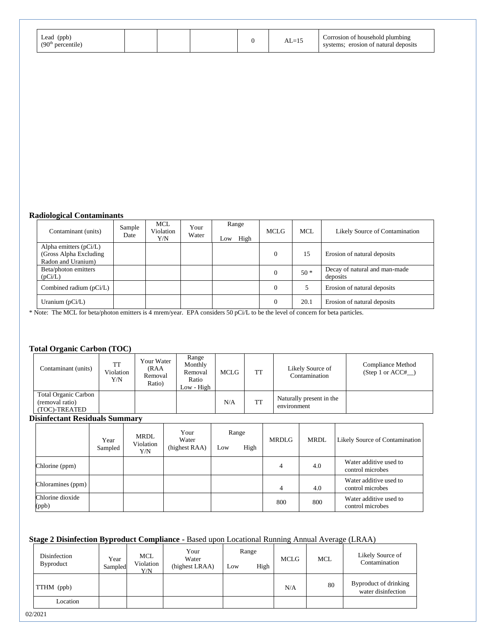| (ppb)<br>Lead<br>(90 <sup>th</sup> ) |  |  |  | . .<br>$\overline{\phantom{a}}$ | f household plumbing<br>orrosion of<br>erosion of natural deposits |
|--------------------------------------|--|--|--|---------------------------------|--------------------------------------------------------------------|
|--------------------------------------|--|--|--|---------------------------------|--------------------------------------------------------------------|

### **Radiological Contaminants**

| Contaminant (units)                                                       | Sample<br>Date | <b>MCL</b><br>Violation<br>Y/N | Your<br>Water | Low | Range<br>High | <b>MCLG</b>    | <b>MCL</b> | Likely Source of Contamination            |
|---------------------------------------------------------------------------|----------------|--------------------------------|---------------|-----|---------------|----------------|------------|-------------------------------------------|
| Alpha emitters $(pCi/L)$<br>(Gross Alpha Excluding)<br>Radon and Uranium) |                |                                |               |     |               | $\theta$       | 15         | Erosion of natural deposits               |
| Beta/photon emitters<br>(pCi/L)                                           |                |                                |               |     |               | $\theta$       | $50*$      | Decay of natural and man-made<br>deposits |
| Combined radium $(pCi/L)$                                                 |                |                                |               |     |               | $\overline{0}$ |            | Erosion of natural deposits               |
| Uranium $(pCi/L)$                                                         |                |                                |               |     |               | $\theta$       | 20.1       | Erosion of natural deposits               |

\* Note: The MCL for beta/photon emitters is 4 mrem/year. EPA considers 50 pCi/L to be the level of concern for beta particles.

### **Total Organic Carbon (TOC)**

| Contaminant (units)                                      | TT<br>Violation<br>Y/N | Your Water<br>(RAA<br>Removal<br>Ratio) | Range<br>Monthly<br>Removal<br>Ratio<br>Low - High | MCLG | <b>TT</b> | Likely Source of<br>Contamination       | Compliance Method<br>$(Step 1 or ACC#_ )$ |
|----------------------------------------------------------|------------------------|-----------------------------------------|----------------------------------------------------|------|-----------|-----------------------------------------|-------------------------------------------|
| Total Organic Carbon<br>(removal ratio)<br>(TOC)-TREATED |                        |                                         |                                                    | N/A  | TT        | Naturally present in the<br>environment |                                           |

#### **Disinfectant Residuals Summary**

|                           | Year<br>Sampled | MRDL<br>Violation<br>Y/N | Your<br>Water<br>(highest RAA) | Low | Range<br>High | <b>MRDLG</b> | <b>MRDL</b> | Likely Source of Contamination             |
|---------------------------|-----------------|--------------------------|--------------------------------|-----|---------------|--------------|-------------|--------------------------------------------|
| Chlorine (ppm)            |                 |                          |                                |     |               | 4            | 4.0         | Water additive used to<br>control microbes |
| Chloramines (ppm)         |                 |                          |                                |     |               | 4            | 4.0         | Water additive used to<br>control microbes |
| Chlorine dioxide<br>(ppb) |                 |                          |                                |     |               | 800          | 800         | Water additive used to<br>control microbes |

### **Stage 2 Disinfection Byproduct Compliance -** Based upon Locational Running Annual Average (LRAA)

| Disinfection<br><b>Byproduct</b> | Year<br>Sampled | <b>MCL</b><br>Violation<br>Y/N | Your<br>Water<br>(highest LRAA) | Range<br>High<br>Low |  | <b>MCLG</b> | <b>MCL</b> | Likely Source of<br>Contamination           |  |
|----------------------------------|-----------------|--------------------------------|---------------------------------|----------------------|--|-------------|------------|---------------------------------------------|--|
| TTHM (ppb)                       |                 |                                |                                 |                      |  | N/A         | 80         | Byproduct of drinking<br>water disinfection |  |
| Location                         |                 |                                |                                 |                      |  |             |            |                                             |  |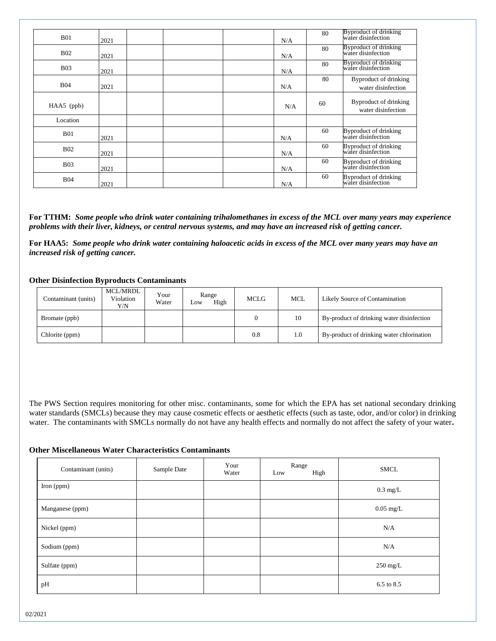| <b>B01</b>   | 2021 |  | N/A | 80 | <b>Byproduct of drinking</b><br>water disinfection |
|--------------|------|--|-----|----|----------------------------------------------------|
| <b>B02</b>   | 2021 |  | N/A | 80 | Byproduct of drinking<br>water disinfection        |
| <b>B03</b>   | 2021 |  | N/A | 80 | Byproduct of drinking<br>water disinfection        |
| <b>B04</b>   | 2021 |  | N/A | 80 | Byproduct of drinking<br>water disinfection        |
| $HAA5$ (ppb) |      |  | N/A | 60 | Byproduct of drinking<br>water disinfection        |
| Location     |      |  |     |    |                                                    |
| <b>B01</b>   | 2021 |  | N/A | 60 | Byproduct of drinking<br>water disinfection        |
| <b>B02</b>   | 2021 |  | N/A | 60 | Byproduct of drinking<br>water disinfection        |
| <b>B03</b>   | 2021 |  | N/A | 60 | Byproduct of drinking<br>water disinfection        |
| <b>B04</b>   | 2021 |  | N/A | 60 | Byproduct of drinking<br>water disinfection        |

**For TTHM:** *Some people who drink water containing trihalomethanes in excess of the MCL over many years may experience problems with their liver, kidneys, or central nervous systems, and may have an increased risk of getting cancer.*

**For HAA5:** *Some people who drink water containing haloacetic acids in excess of the MCL over many years may have an increased risk of getting cancer.*

#### **Other Disinfection Byproducts Contaminants**

| Contaminant (units) | MCL/MRDL<br>Violation<br>Y/N | Your<br>Water | Range<br>High<br><b>LOW</b> | <b>MCLG</b> | MCL | Likely Source of Contamination            |
|---------------------|------------------------------|---------------|-----------------------------|-------------|-----|-------------------------------------------|
| Bromate (ppb)       |                              |               |                             |             | 10  | By-product of drinking water disinfection |
| Chlorite (ppm)      |                              |               |                             | 0.8         | 1.0 | By-product of drinking water chlorination |

The PWS Section requires monitoring for other misc. contaminants, some for which the EPA has set national secondary drinking water standards (SMCLs) because they may cause cosmetic effects or aesthetic effects (such as taste, odor, and/or color) in drinking water. The contaminants with SMCLs normally do not have any health effects and normally do not affect the safety of your water**.**

#### **Other Miscellaneous Water Characteristics Contaminants**

| Contaminant (units) | Sample Date | Your<br>Water | Range<br>High<br>Low | <b>SMCL</b>         |  |
|---------------------|-------------|---------------|----------------------|---------------------|--|
| Iron (ppm)          |             |               |                      | $0.3 \text{ mg/L}$  |  |
| Manganese (ppm)     |             |               |                      | $0.05 \text{ mg/L}$ |  |
| Nickel (ppm)        |             |               |                      | N/A                 |  |
| Sodium (ppm)        |             |               |                      | N/A                 |  |
| Sulfate (ppm)       |             |               |                      | $250$ mg/L          |  |
| pH                  |             |               |                      | 6.5 to 8.5          |  |